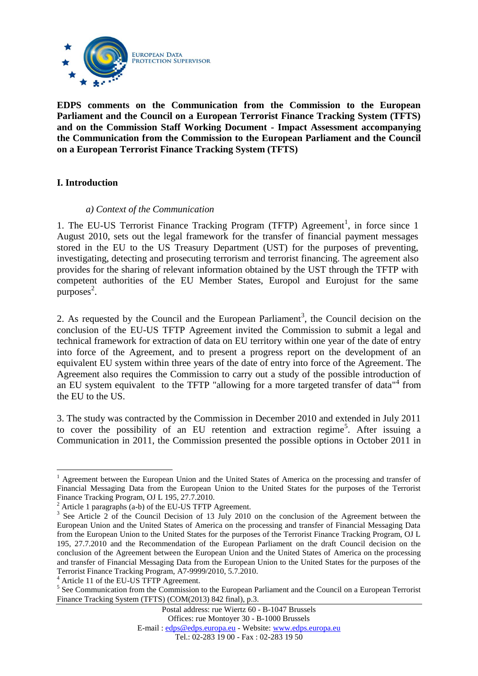

**EDPS comments on the Communication from the Commission to the European Parliament and the Council on a European Terrorist Finance Tracking System (TFTS) and on the Commission Staff Working Document - Impact Assessment accompanying the Communication from the Commission to the European Parliament and the Council on a European Terrorist Finance Tracking System (TFTS)** 

### **I. Introduction**

 $\overline{a}$ 

#### *a) Context of the Communication*

1. The EU-US Terrorist Finance Tracking Program (TFTP) Agreement<sup>1</sup>, in force since 1 August 2010, sets out the legal framework for the transfer of financial payment messages stored in the EU to the US Treasury Department (UST) for the purposes of preventing, investigating, detecting and prosecuting terrorism and terrorist financing. The agreement also provides for the sharing of relevant information obtained by the UST through the TFTP with competent authorities of the EU Member States, Europol and Eurojust for the same purposes 2 .

2. As requested by the Council and the European Parliament<sup>3</sup>, the Council decision on the conclusion of the EU-US TFTP Agreement invited the Commission to submit a legal and technical framework for extraction of data on EU territory within one year of the date of entry into force of the Agreement, and to present a progress report on the development of an equivalent EU system within three years of the date of entry into force of the Agreement. The Agreement also requires the Commission to carry out a study of the possible introduction of an EU system equivalent to the TFTP "allowing for a more targeted transfer of data"<sup>4</sup> from the EU to the US.

3. The study was contracted by the Commission in December 2010 and extended in July 2011 to cover the possibility of an EU retention and extraction regime<sup>5</sup>. After issuing a Communication in 2011, the Commission presented the possible options in October 2011 in

<sup>4</sup> Article 11 of the EU-US TFTP Agreement.

<sup>&</sup>lt;sup>1</sup> Agreement between the European Union and the United States of America on the processing and transfer of Financial Messaging Data from the European Union to the United States for the purposes of the Terrorist Finance Tracking Program, OJ L 195, 27.7.2010.

 $2$  Article 1 paragraphs (a-b) of the EU-US TFTP Agreement.

<sup>&</sup>lt;sup>3</sup> See Article 2 of the Council Decision of 13 July 2010 on the conclusion of the Agreement between the European Union and the United States of America on the processing and transfer of Financial Messaging Data from the European Union to the United States for the purposes of the Terrorist Finance Tracking Program, OJ L 195, 27.7.2010 and the Recommendation of the European Parliament on the draft Council decision on the conclusion of the Agreement between the European Union and the United States of America on the processing and transfer of Financial Messaging Data from the European Union to the United States for the purposes of the Terrorist Finance Tracking Program, A7-9999/2010, 5.7.2010.

<sup>&</sup>lt;sup>5</sup> See Communication from the Commission to the European Parliament and the Council on a European Terrorist Finance Tracking System (TFTS) (COM(2013) 842 final), p.3.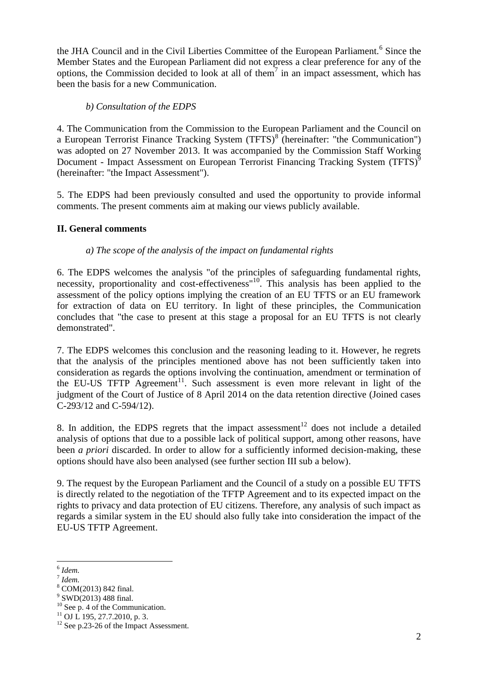the JHA Council and in the Civil Liberties Committee of the European Parliament.<sup>6</sup> Since the Member States and the European Parliament did not express a clear preference for any of the options, the Commission decided to look at all of them<sup>7</sup> in an impact assessment, which has been the basis for a new Communication.

# *b) Consultation of the EDPS*

4. The Communication from the Commission to the European Parliament and the Council on a European Terrorist Finance Tracking System (TFTS)<sup>8</sup> (hereinafter: "the Communication") was adopted on 27 November 2013. It was accompanied by the Commission Staff Working Document - Impact Assessment on European Terrorist Financing Tracking System (TFTS)<sup>9</sup> (hereinafter: "the Impact Assessment").

5. The EDPS had been previously consulted and used the opportunity to provide informal comments. The present comments aim at making our views publicly available.

## **II. General comments**

## *a) The scope of the analysis of the impact on fundamental rights*

6. The EDPS welcomes the analysis "of the principles of safeguarding fundamental rights, necessity, proportionality and cost-effectiveness"<sup>10</sup>. This analysis has been applied to the assessment of the policy options implying the creation of an EU TFTS or an EU framework for extraction of data on EU territory. In light of these principles, the Communication concludes that "the case to present at this stage a proposal for an EU TFTS is not clearly demonstrated".

7. The EDPS welcomes this conclusion and the reasoning leading to it. However, he regrets that the analysis of the principles mentioned above has not been sufficiently taken into consideration as regards the options involving the continuation, amendment or termination of the EU-US TFTP Agreement<sup>11</sup>. Such assessment is even more relevant in light of the judgment of the Court of Justice of 8 April 2014 on the data retention directive (Joined cases C-293/12 and C-594/12).

8. In addition, the EDPS regrets that the impact assessment<sup>12</sup> does not include a detailed analysis of options that due to a possible lack of political support, among other reasons, have been *a priori* discarded. In order to allow for a sufficiently informed decision-making, these options should have also been analysed (see further section III sub a below).

9. The request by the European Parliament and the Council of a study on a possible EU TFTS is directly related to the negotiation of the TFTP Agreement and to its expected impact on the rights to privacy and data protection of EU citizens. Therefore, any analysis of such impact as regards a similar system in the EU should also fully take into consideration the impact of the EU-US TFTP Agreement.

 $\overline{a}$ 

<sup>6</sup> *Idem.*

<sup>7</sup> *Idem.*

<sup>8</sup> COM(2013) 842 final.

<sup>&</sup>lt;sup>9</sup> SWD(2013) 488 final.

 $10$  See p. 4 of the Communication.

 $11$  OJ L 195, 27.7.2010, p. 3.

<sup>&</sup>lt;sup>12</sup> See p.23-26 of the Impact Assessment.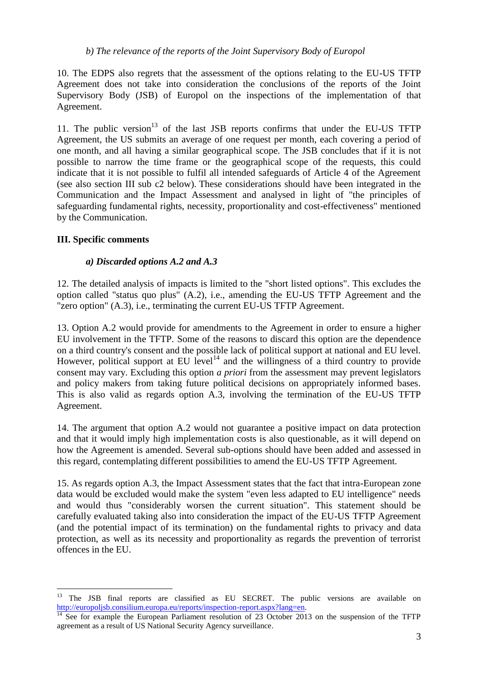### *b) The relevance of the reports of the Joint Supervisory Body of Europol*

10. The EDPS also regrets that the assessment of the options relating to the EU-US TFTP Agreement does not take into consideration the conclusions of the reports of the Joint Supervisory Body (JSB) of Europol on the inspections of the implementation of that Agreement.

11. The public version<sup>13</sup> of the last JSB reports confirms that under the EU-US TFTP Agreement, the US submits an average of one request per month, each covering a period of one month, and all having a similar geographical scope. The JSB concludes that if it is not possible to narrow the time frame or the geographical scope of the requests, this could indicate that it is not possible to fulfil all intended safeguards of Article 4 of the Agreement (see also section III sub c2 below). These considerations should have been integrated in the Communication and the Impact Assessment and analysed in light of "the principles of safeguarding fundamental rights, necessity, proportionality and cost-effectiveness" mentioned by the Communication.

### **III. Specific comments**

 $\overline{a}$ 

### *a) Discarded options A.2 and A.3*

12. The detailed analysis of impacts is limited to the "short listed options". This excludes the option called "status quo plus" (A.2), i.e., amending the EU-US TFTP Agreement and the "zero option" (A.3), i.e., terminating the current EU-US TFTP Agreement.

13. Option A.2 would provide for amendments to the Agreement in order to ensure a higher EU involvement in the TFTP*.* Some of the reasons to discard this option are the dependence on a third country's consent and the possible lack of political support at national and EU level. However, political support at EU level<sup>14</sup> and the willingness of a third country to provide consent may vary. Excluding this option *a priori* from the assessment may prevent legislators and policy makers from taking future political decisions on appropriately informed bases. This is also valid as regards option A.3, involving the termination of the EU-US TFTP Agreement.

14. The argument that option A.2 would not guarantee a positive impact on data protection and that it would imply high implementation costs is also questionable, as it will depend on how the Agreement is amended. Several sub-options should have been added and assessed in this regard, contemplating different possibilities to amend the EU-US TFTP Agreement.

15. As regards option A.3, the Impact Assessment states that the fact that intra-European zone data would be excluded would make the system "even less adapted to EU intelligence" needs and would thus "considerably worsen the current situation". This statement should be carefully evaluated taking also into consideration the impact of the EU-US TFTP Agreement (and the potential impact of its termination) on the fundamental rights to privacy and data protection, as well as its necessity and proportionality as regards the prevention of terrorist offences in the EU.

<sup>&</sup>lt;sup>13</sup> The JSB final reports are classified as EU SECRET. The public versions are available on [http://europoljsb.consilium.europa.eu/reports/inspection-report.aspx?lang=en.](http://europoljsb.consilium.europa.eu/reports/inspection-report.aspx?lang=en)

<sup>&</sup>lt;sup>14</sup> See for example the European Parliament resolution of 23 October 2013 on the suspension of the TFTP agreement as a result of US National Security Agency surveillance.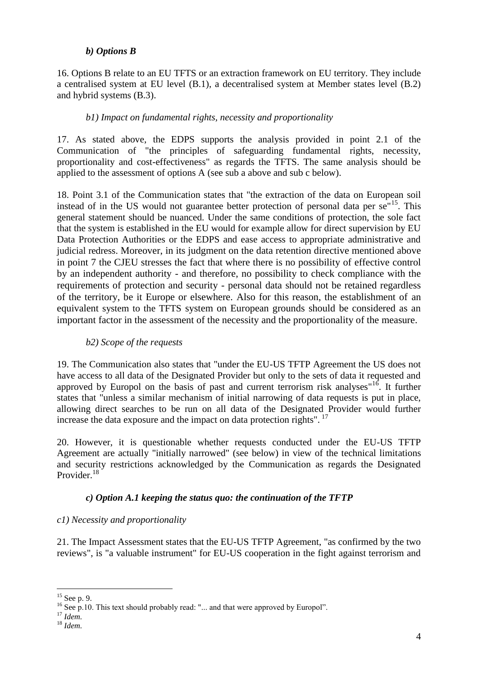## *b) Options B*

16. Options B relate to an EU TFTS or an extraction framework on EU territory. They include a centralised system at EU level (B.1), a decentralised system at Member states level (B.2) and hybrid systems (B.3).

## *b1) Impact on fundamental rights, necessity and proportionality*

17. As stated above, the EDPS supports the analysis provided in point 2.1 of the Communication of "the principles of safeguarding fundamental rights, necessity, proportionality and cost-effectiveness" as regards the TFTS. The same analysis should be applied to the assessment of options A (see sub a above and sub c below).

18. Point 3.1 of the Communication states that "the extraction of the data on European soil instead of in the US would not guarantee better protection of personal data per se<sup>"15</sup>. This general statement should be nuanced. Under the same conditions of protection, the sole fact that the system is established in the EU would for example allow for direct supervision by EU Data Protection Authorities or the EDPS and ease access to appropriate administrative and judicial redress. Moreover, in its judgment on the data retention directive mentioned above in point 7 the CJEU stresses the fact that where there is no possibility of effective control by an independent authority - and therefore, no possibility to check compliance with the requirements of protection and security - personal data should not be retained regardless of the territory, be it Europe or elsewhere. Also for this reason, the establishment of an equivalent system to the TFTS system on European grounds should be considered as an important factor in the assessment of the necessity and the proportionality of the measure.

## *b2) Scope of the requests*

19. The Communication also states that "under the EU-US TFTP Agreement the US does not have access to all data of the Designated Provider but only to the sets of data it requested and approved by Europol on the basis of past and current terrorism risk analyses<sup>"16</sup>. It further states that "unless a similar mechanism of initial narrowing of data requests is put in place, allowing direct searches to be run on all data of the Designated Provider would further increase the data exposure and the impact on data protection rights".  $^{17}$ 

20. However, it is questionable whether requests conducted under the EU-US TFTP Agreement are actually "initially narrowed" (see below) in view of the technical limitations and security restrictions acknowledged by the Communication as regards the Designated Provider.<sup>18</sup>

## *c) Option A.1 keeping the status quo: the continuation of the TFTP*

## *c1) Necessity and proportionality*

21. The Impact Assessment states that the EU-US TFTP Agreement, "as confirmed by the two reviews", is "a valuable instrument" for EU-US cooperation in the fight against terrorism and

 $\overline{a}$  $15$  See p. 9.

<sup>&</sup>lt;sup>16</sup> See p.10. This text should probably read: "... and that were approved by Europol".

<sup>17</sup> *Idem.*

<sup>18</sup> *Idem.*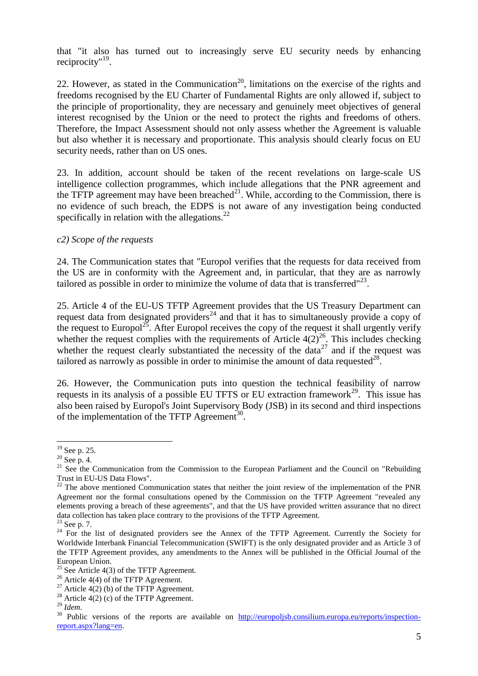that "it also has turned out to increasingly serve EU security needs by enhancing reciprocity"<sup>19</sup>.

22. However, as stated in the Communication<sup>20</sup>, limitations on the exercise of the rights and freedoms recognised by the EU Charter of Fundamental Rights are only allowed if, subject to the principle of proportionality, they are necessary and genuinely meet objectives of general interest recognised by the Union or the need to protect the rights and freedoms of others. Therefore, the Impact Assessment should not only assess whether the Agreement is valuable but also whether it is necessary and proportionate. This analysis should clearly focus on EU security needs, rather than on US ones.

23. In addition, account should be taken of the recent revelations on large-scale US intelligence collection programmes, which include allegations that the PNR agreement and the TFTP agreement may have been breached<sup>21</sup>. While, according to the Commission, there is no evidence of such breach, the EDPS is not aware of any investigation being conducted specifically in relation with the allegations. $^{22}$ 

## *c2) Scope of the requests*

24. The Communication states that "Europol verifies that the requests for data received from the US are in conformity with the Agreement and, in particular, that they are as narrowly tailored as possible in order to minimize the volume of data that is transferred"<sup>23</sup>.

25. Article 4 of the EU-US TFTP Agreement provides that the US Treasury Department can request data from designated providers<sup>24</sup> and that it has to simultaneously provide a copy of the request to Europol<sup>25</sup>. After Europol receives the copy of the request it shall urgently verify whether the request complies with the requirements of Article  $4(2)^{26}$ . This includes checking whether the request clearly substantiated the necessity of the data<sup>27</sup> and if the request was tailored as narrowly as possible in order to minimise the amount of data requested $^{28}$ .

26. However, the Communication puts into question the technical feasibility of narrow requests in its analysis of a possible EU TFTS or EU extraction framework<sup>29</sup>. This issue has also been raised by Europol's Joint Supervisory Body (JSB) in its second and third inspections of the implementation of the TFTP Agreement<sup>30</sup>.

 $\overline{a}$ 

 $19$  See p. 25.

 $20$  See p. 4.

<sup>&</sup>lt;sup>21</sup> See the Communication from the Commission to the European Parliament and the Council on "Rebuilding Trust in EU-US Data Flows".

 $22$  The above mentioned Communication states that neither the joint review of the implementation of the PNR Agreement nor the formal consultations opened by the Commission on the TFTP Agreement "revealed any elements proving a breach of these agreements", and that the US have provided written assurance that no direct data collection has taken place contrary to the provisions of the TFTP Agreement.

 $23$  See p. 7.

<sup>&</sup>lt;sup>24</sup> For the list of designated providers see the Annex of the TFTP Agreement. Currently the Society for Worldwide Interbank Financial Telecommunication (SWIFT) is the only designated provider and as Article 3 of the TFTP Agreement provides, any amendments to the Annex will be published in the Official Journal of the European Union.

<sup>&</sup>lt;sup>25</sup> See Article 4(3) of the TFTP Agreement.

<sup>&</sup>lt;sup>26</sup> Article 4(4) of the TFTP Agreement.

<sup>&</sup>lt;sup>27</sup> Article 4(2) (b) of the TFTP Agreement.

<sup>&</sup>lt;sup>28</sup> Article  $4(2)$  (c) of the TFTP Agreement.

<sup>29</sup> *Idem.*

<sup>&</sup>lt;sup>30</sup> Public versions of the reports are available on [http://europoljsb.consilium.europa.eu/reports/inspection](http://europoljsb.consilium.europa.eu/reports/inspection-report.aspx?lang=en)[report.aspx?lang=en.](http://europoljsb.consilium.europa.eu/reports/inspection-report.aspx?lang=en)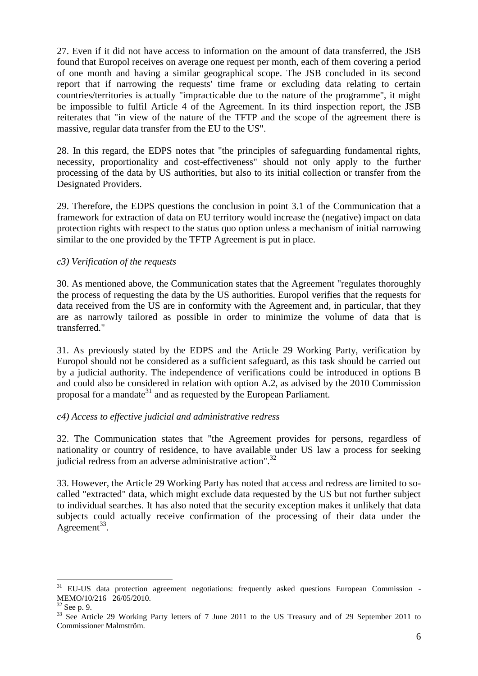27. Even if it did not have access to information on the amount of data transferred, the JSB found that Europol receives on average one request per month, each of them covering a period of one month and having a similar geographical scope. The JSB concluded in its second report that if narrowing the requests' time frame or excluding data relating to certain countries/territories is actually "impracticable due to the nature of the programme", it might be impossible to fulfil Article 4 of the Agreement. In its third inspection report, the JSB reiterates that "in view of the nature of the TFTP and the scope of the agreement there is massive, regular data transfer from the EU to the US".

28. In this regard, the EDPS notes that "the principles of safeguarding fundamental rights, necessity, proportionality and cost-effectiveness" should not only apply to the further processing of the data by US authorities, but also to its initial collection or transfer from the Designated Providers.

29. Therefore, the EDPS questions the conclusion in point 3.1 of the Communication that a framework for extraction of data on EU territory would increase the (negative) impact on data protection rights with respect to the status quo option unless a mechanism of initial narrowing similar to the one provided by the TFTP Agreement is put in place.

### *c3) Verification of the requests*

30. As mentioned above, the Communication states that the Agreement "regulates thoroughly the process of requesting the data by the US authorities. Europol verifies that the requests for data received from the US are in conformity with the Agreement and, in particular, that they are as narrowly tailored as possible in order to minimize the volume of data that is transferred."

31. As previously stated by the EDPS and the Article 29 Working Party, verification by Europol should not be considered as a sufficient safeguard, as this task should be carried out by a judicial authority. The independence of verifications could be introduced in options B and could also be considered in relation with option A.2, as advised by the 2010 Commission proposal for a mandate<sup>31</sup> and as requested by the European Parliament.

## *c4) Access to effective judicial and administrative redress*

32. The Communication states that "the Agreement provides for persons, regardless of nationality or country of residence, to have available under US law a process for seeking judicial redress from an adverse administrative action".<sup>32</sup>

33. However, the Article 29 Working Party has noted that access and redress are limited to socalled "extracted" data, which might exclude data requested by the US but not further subject to individual searches. It has also noted that the security exception makes it unlikely that data subjects could actually receive confirmation of the processing of their data under the Agreement<sup>33</sup>.

 $\overline{a}$ 

<sup>&</sup>lt;sup>31</sup> EU-US data protection agreement negotiations: frequently asked questions European Commission -MEMO/10/216 26/05/2010.

<sup>32</sup> See p. 9.

<sup>&</sup>lt;sup>33</sup> See Article 29 Working Party letters of 7 June 2011 to the US Treasury and of 29 September 2011 to Commissioner Malmström.